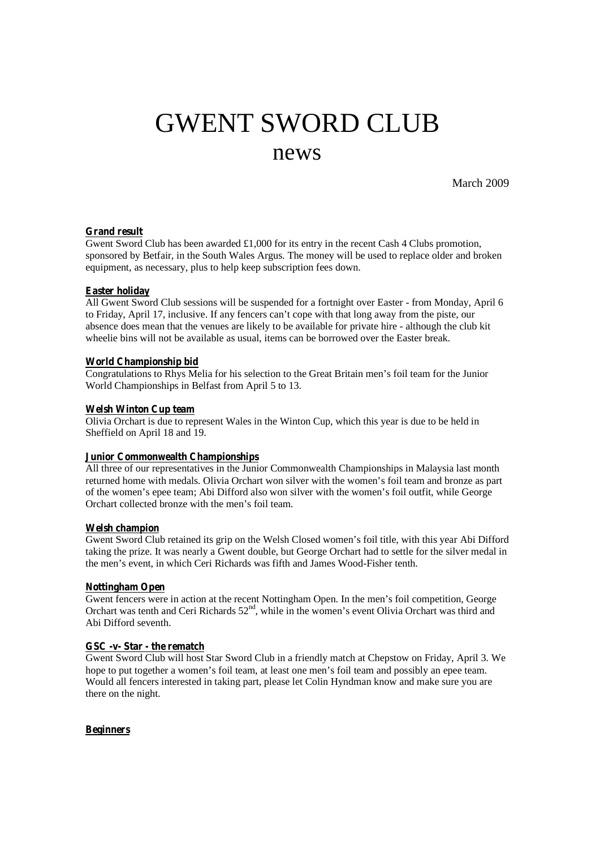# GWENT SWORD CLUB news

March 2009

# **Grand result**

Gwent Sword Club has been awarded £1,000 for its entry in the recent Cash 4 Clubs promotion, sponsored by Betfair, in the South Wales Argus. The money will be used to replace older and broken equipment, as necessary, plus to help keep subscription fees down.

# **Easter holiday**

All Gwent Sword Club sessions will be suspended for a fortnight over Easter - from Monday, April 6 to Friday, April 17, inclusive. If any fencers can't cope with that long away from the piste, our absence does mean that the venues are likely to be available for private hire - although the club kit wheelie bins will not be available as usual, items can be borrowed over the Easter break.

# **World Championship bid**

Congratulations to Rhys Melia for his selection to the Great Britain men's foil team for the Junior World Championships in Belfast from April 5 to 13.

# **Welsh Winton Cup team**

Olivia Orchart is due to represent Wales in the Winton Cup, which this year is due to be held in Sheffield on April 18 and 19.

# **Junior Commonwealth Championships**

All three of our representatives in the Junior Commonwealth Championships in Malaysia last month returned home with medals. Olivia Orchart won silver with the women's foil team and bronze as part of the women's epee team; Abi Difford also won silver with the women's foil outfit, while George Orchart collected bronze with the men's foil team.

#### **Welsh champion**

Gwent Sword Club retained its grip on the Welsh Closed women's foil title, with this year Abi Difford taking the prize. It was nearly a Gwent double, but George Orchart had to settle for the silver medal in the men's event, in which Ceri Richards was fifth and James Wood-Fisher tenth.

# **Nottingham Open**

Gwent fencers were in action at the recent Nottingham Open. In the men's foil competition, George Orchart was tenth and Ceri Richards  $52<sup>nd</sup>$ , while in the women's event Olivia Orchart was third and Abi Difford seventh.

#### **GSC -v- Star - the rematch**

Gwent Sword Club will host Star Sword Club in a friendly match at Chepstow on Friday, April 3. We hope to put together a women's foil team, at least one men's foil team and possibly an epee team. Would all fencers interested in taking part, please let Colin Hyndman know and make sure you are there on the night.

#### **Beginners**